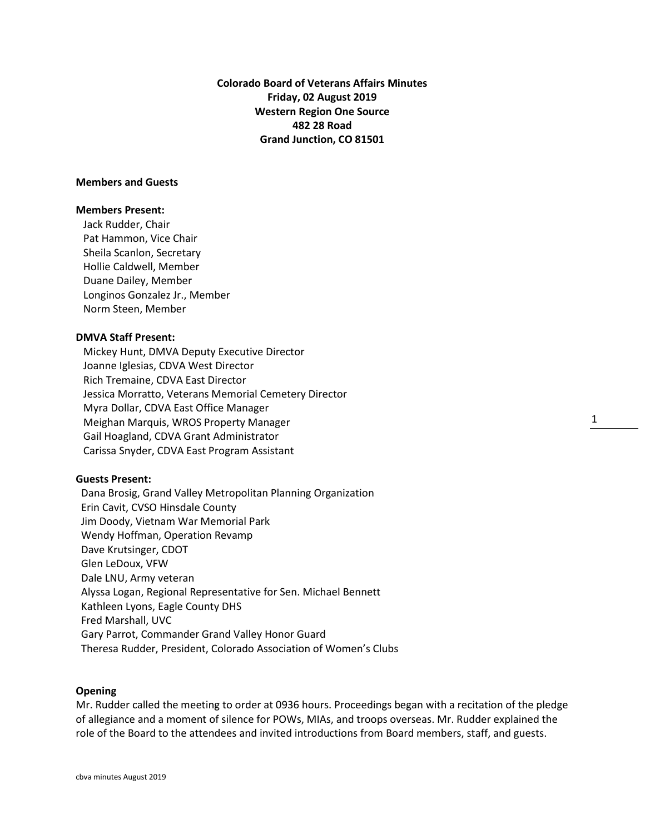**Colorado Board of Veterans Affairs Minutes Friday, 02 August 2019 Western Region One Source 482 28 Road Grand Junction, CO 81501**

# **Members and Guests**

# **Members Present:**

Jack Rudder, Chair Pat Hammon, Vice Chair Sheila Scanlon, Secretary Hollie Caldwell, Member Duane Dailey, Member Longinos Gonzalez Jr., Member Norm Steen, Member

# **DMVA Staff Present:**

Mickey Hunt, DMVA Deputy Executive Director Joanne Iglesias, CDVA West Director Rich Tremaine, CDVA East Director Jessica Morratto, Veterans Memorial Cemetery Director Myra Dollar, CDVA East Office Manager Meighan Marquis, WROS Property Manager Gail Hoagland, CDVA Grant Administrator Carissa Snyder, CDVA East Program Assistant

# **Guests Present:**

 Dana Brosig, Grand Valley Metropolitan Planning Organization Erin Cavit, CVSO Hinsdale County Jim Doody, Vietnam War Memorial Park Wendy Hoffman, Operation Revamp Dave Krutsinger, CDOT Glen LeDoux, VFW Dale LNU, Army veteran Alyssa Logan, Regional Representative for Sen. Michael Bennett Kathleen Lyons, Eagle County DHS Fred Marshall, UVC Gary Parrot, Commander Grand Valley Honor Guard Theresa Rudder, President, Colorado Association of Women's Clubs

#### **Opening**

Mr. Rudder called the meeting to order at 0936 hours. Proceedings began with a recitation of the pledge of allegiance and a moment of silence for POWs, MIAs, and troops overseas. Mr. Rudder explained the role of the Board to the attendees and invited introductions from Board members, staff, and guests.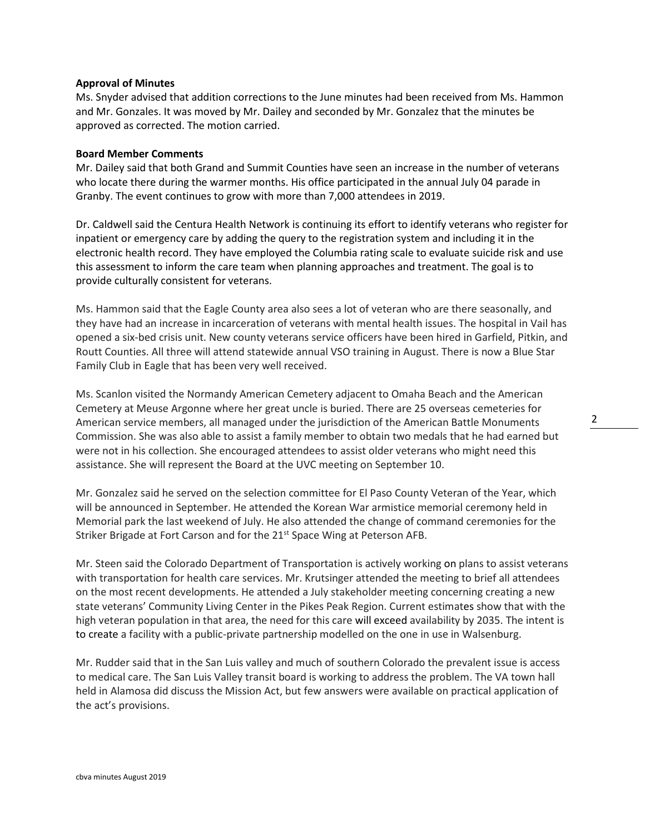# **Approval of Minutes**

Ms. Snyder advised that addition corrections to the June minutes had been received from Ms. Hammon and Mr. Gonzales. It was moved by Mr. Dailey and seconded by Mr. Gonzalez that the minutes be approved as corrected. The motion carried.

# **Board Member Comments**

Mr. Dailey said that both Grand and Summit Counties have seen an increase in the number of veterans who locate there during the warmer months. His office participated in the annual July 04 parade in Granby. The event continues to grow with more than 7,000 attendees in 2019.

Dr. Caldwell said the Centura Health Network is continuing its effort to identify veterans who register for inpatient or emergency care by adding the query to the registration system and including it in the electronic health record. They have employed the Columbia rating scale to evaluate suicide risk and use this assessment to inform the care team when planning approaches and treatment. The goal is to provide culturally consistent for veterans.

Ms. Hammon said that the Eagle County area also sees a lot of veteran who are there seasonally, and they have had an increase in incarceration of veterans with mental health issues. The hospital in Vail has opened a six-bed crisis unit. New county veterans service officers have been hired in Garfield, Pitkin, and Routt Counties. All three will attend statewide annual VSO training in August. There is now a Blue Star Family Club in Eagle that has been very well received.

Ms. Scanlon visited the Normandy American Cemetery adjacent to Omaha Beach and the American Cemetery at Meuse Argonne where her great uncle is buried. There are 25 overseas cemeteries for American service members, all managed under the jurisdiction of the American Battle Monuments Commission. She was also able to assist a family member to obtain two medals that he had earned but were not in his collection. She encouraged attendees to assist older veterans who might need this assistance. She will represent the Board at the UVC meeting on September 10.

Mr. Gonzalez said he served on the selection committee for El Paso County Veteran of the Year, which will be announced in September. He attended the Korean War armistice memorial ceremony held in Memorial park the last weekend of July. He also attended the change of command ceremonies for the Striker Brigade at Fort Carson and for the 21<sup>st</sup> Space Wing at Peterson AFB.

Mr. Steen said the Colorado Department of Transportation is actively working on plans to assist veterans with transportation for health care services. Mr. Krutsinger attended the meeting to brief all attendees on the most recent developments. He attended a July stakeholder meeting concerning creating a new state veterans' Community Living Center in the Pikes Peak Region. Current estimates show that with the high veteran population in that area, the need for this care will exceed availability by 2035. The intent is to create a facility with a public-private partnership modelled on the one in use in Walsenburg.

Mr. Rudder said that in the San Luis valley and much of southern Colorado the prevalent issue is access to medical care. The San Luis Valley transit board is working to address the problem. The VA town hall held in Alamosa did discuss the Mission Act, but few answers were available on practical application of the act's provisions.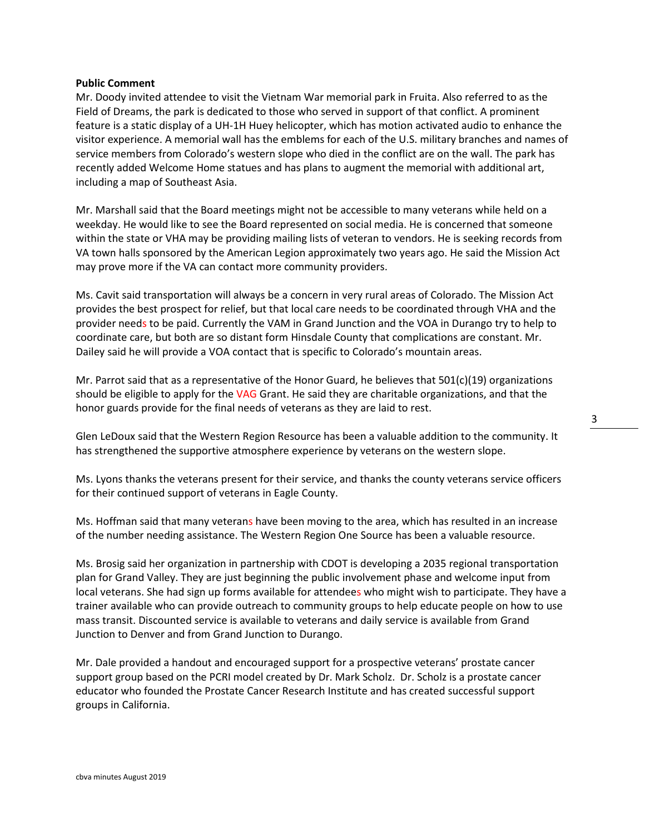# **Public Comment**

Mr. Doody invited attendee to visit the Vietnam War memorial park in Fruita. Also referred to as the Field of Dreams, the park is dedicated to those who served in support of that conflict. A prominent feature is a static display of a UH-1H Huey helicopter, which has motion activated audio to enhance the visitor experience. A memorial wall has the emblems for each of the U.S. military branches and names of service members from Colorado's western slope who died in the conflict are on the wall. The park has recently added Welcome Home statues and has plans to augment the memorial with additional art, including a map of Southeast Asia.

Mr. Marshall said that the Board meetings might not be accessible to many veterans while held on a weekday. He would like to see the Board represented on social media. He is concerned that someone within the state or VHA may be providing mailing lists of veteran to vendors. He is seeking records from VA town halls sponsored by the American Legion approximately two years ago. He said the Mission Act may prove more if the VA can contact more community providers.

Ms. Cavit said transportation will always be a concern in very rural areas of Colorado. The Mission Act provides the best prospect for relief, but that local care needs to be coordinated through VHA and the provider needs to be paid. Currently the VAM in Grand Junction and the VOA in Durango try to help to coordinate care, but both are so distant form Hinsdale County that complications are constant. Mr. Dailey said he will provide a VOA contact that is specific to Colorado's mountain areas.

Mr. Parrot said that as a representative of the Honor Guard, he believes that  $501(c)(19)$  organizations should be eligible to apply for the VAG Grant. He said they are charitable organizations, and that the honor guards provide for the final needs of veterans as they are laid to rest.

Glen LeDoux said that the Western Region Resource has been a valuable addition to the community. It has strengthened the supportive atmosphere experience by veterans on the western slope.

Ms. Lyons thanks the veterans present for their service, and thanks the county veterans service officers for their continued support of veterans in Eagle County.

Ms. Hoffman said that many veterans have been moving to the area, which has resulted in an increase of the number needing assistance. The Western Region One Source has been a valuable resource.

Ms. Brosig said her organization in partnership with CDOT is developing a 2035 regional transportation plan for Grand Valley. They are just beginning the public involvement phase and welcome input from local veterans. She had sign up forms available for attendees who might wish to participate. They have a trainer available who can provide outreach to community groups to help educate people on how to use mass transit. Discounted service is available to veterans and daily service is available from Grand Junction to Denver and from Grand Junction to Durango.

Mr. Dale provided a handout and encouraged support for a prospective veterans' prostate cancer support group based on the PCRI model created by Dr. Mark Scholz. Dr. Scholz is a prostate cancer educator who founded the Prostate Cancer Research Institute and has created successful support groups in California.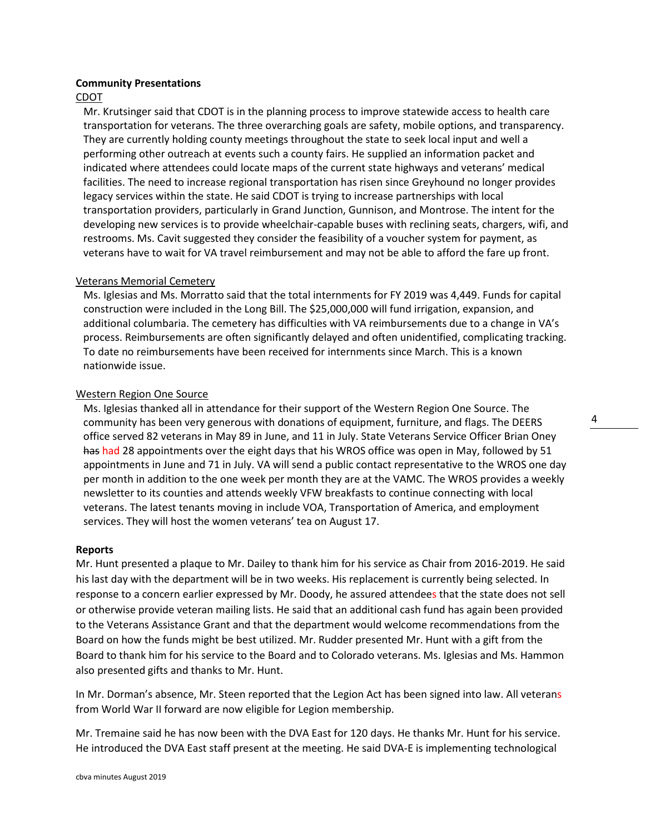#### **Community Presentations**

# CDOT

Mr. Krutsinger said that CDOT is in the planning process to improve statewide access to health care transportation for veterans. The three overarching goals are safety, mobile options, and transparency. They are currently holding county meetings throughout the state to seek local input and well a performing other outreach at events such a county fairs. He supplied an information packet and indicated where attendees could locate maps of the current state highways and veterans' medical facilities. The need to increase regional transportation has risen since Greyhound no longer provides legacy services within the state. He said CDOT is trying to increase partnerships with local transportation providers, particularly in Grand Junction, Gunnison, and Montrose. The intent for the developing new services is to provide wheelchair-capable buses with reclining seats, chargers, wifi, and restrooms. Ms. Cavit suggested they consider the feasibility of a voucher system for payment, as veterans have to wait for VA travel reimbursement and may not be able to afford the fare up front.

# Veterans Memorial Cemetery

Ms. Iglesias and Ms. Morratto said that the total internments for FY 2019 was 4,449. Funds for capital construction were included in the Long Bill. The \$25,000,000 will fund irrigation, expansion, and additional columbaria. The cemetery has difficulties with VA reimbursements due to a change in VA's process. Reimbursements are often significantly delayed and often unidentified, complicating tracking. To date no reimbursements have been received for internments since March. This is a known nationwide issue.

# Western Region One Source

Ms. Iglesias thanked all in attendance for their support of the Western Region One Source. The community has been very generous with donations of equipment, furniture, and flags. The DEERS office served 82 veterans in May 89 in June, and 11 in July. State Veterans Service Officer Brian Oney has had 28 appointments over the eight days that his WROS office was open in May, followed by 51 appointments in June and 71 in July. VA will send a public contact representative to the WROS one day per month in addition to the one week per month they are at the VAMC. The WROS provides a weekly newsletter to its counties and attends weekly VFW breakfasts to continue connecting with local veterans. The latest tenants moving in include VOA, Transportation of America, and employment services. They will host the women veterans' tea on August 17.

#### **Reports**

Mr. Hunt presented a plaque to Mr. Dailey to thank him for his service as Chair from 2016-2019. He said his last day with the department will be in two weeks. His replacement is currently being selected. In response to a concern earlier expressed by Mr. Doody, he assured attendees that the state does not sell or otherwise provide veteran mailing lists. He said that an additional cash fund has again been provided to the Veterans Assistance Grant and that the department would welcome recommendations from the Board on how the funds might be best utilized. Mr. Rudder presented Mr. Hunt with a gift from the Board to thank him for his service to the Board and to Colorado veterans. Ms. Iglesias and Ms. Hammon also presented gifts and thanks to Mr. Hunt.

In Mr. Dorman's absence, Mr. Steen reported that the Legion Act has been signed into law. All veterans from World War II forward are now eligible for Legion membership.

Mr. Tremaine said he has now been with the DVA East for 120 days. He thanks Mr. Hunt for his service. He introduced the DVA East staff present at the meeting. He said DVA-E is implementing technological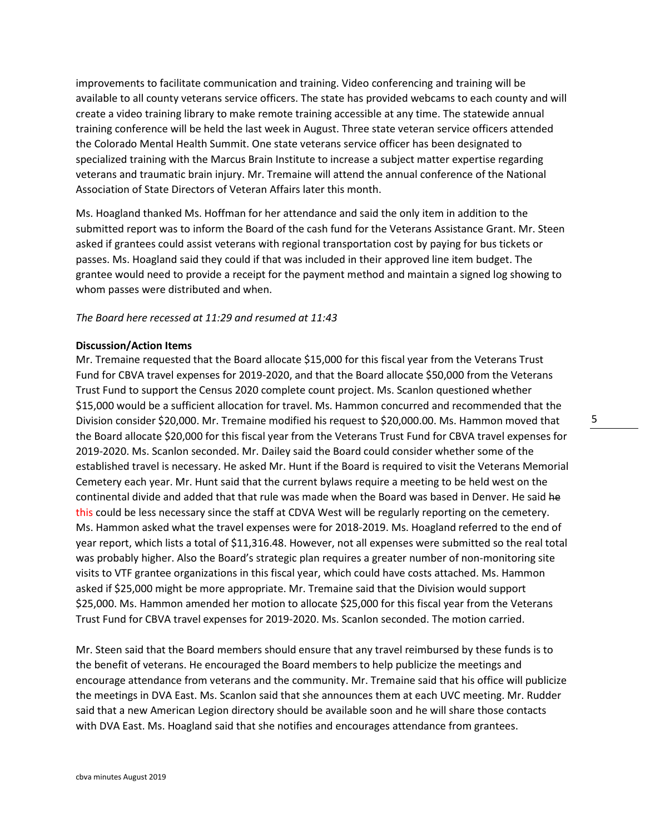improvements to facilitate communication and training. Video conferencing and training will be available to all county veterans service officers. The state has provided webcams to each county and will create a video training library to make remote training accessible at any time. The statewide annual training conference will be held the last week in August. Three state veteran service officers attended the Colorado Mental Health Summit. One state veterans service officer has been designated to specialized training with the Marcus Brain Institute to increase a subject matter expertise regarding veterans and traumatic brain injury. Mr. Tremaine will attend the annual conference of the National Association of State Directors of Veteran Affairs later this month.

Ms. Hoagland thanked Ms. Hoffman for her attendance and said the only item in addition to the submitted report was to inform the Board of the cash fund for the Veterans Assistance Grant. Mr. Steen asked if grantees could assist veterans with regional transportation cost by paying for bus tickets or passes. Ms. Hoagland said they could if that was included in their approved line item budget. The grantee would need to provide a receipt for the payment method and maintain a signed log showing to whom passes were distributed and when.

#### *The Board here recessed at 11:29 and resumed at 11:43*

#### **Discussion/Action Items**

Mr. Tremaine requested that the Board allocate \$15,000 for this fiscal year from the Veterans Trust Fund for CBVA travel expenses for 2019-2020, and that the Board allocate \$50,000 from the Veterans Trust Fund to support the Census 2020 complete count project. Ms. Scanlon questioned whether \$15,000 would be a sufficient allocation for travel. Ms. Hammon concurred and recommended that the Division consider \$20,000. Mr. Tremaine modified his request to \$20,000.00. Ms. Hammon moved that the Board allocate \$20,000 for this fiscal year from the Veterans Trust Fund for CBVA travel expenses for 2019-2020. Ms. Scanlon seconded. Mr. Dailey said the Board could consider whether some of the established travel is necessary. He asked Mr. Hunt if the Board is required to visit the Veterans Memorial Cemetery each year. Mr. Hunt said that the current bylaws require a meeting to be held west on the continental divide and added that that rule was made when the Board was based in Denver. He said he this could be less necessary since the staff at CDVA West will be regularly reporting on the cemetery. Ms. Hammon asked what the travel expenses were for 2018-2019. Ms. Hoagland referred to the end of year report, which lists a total of \$11,316.48. However, not all expenses were submitted so the real total was probably higher. Also the Board's strategic plan requires a greater number of non-monitoring site visits to VTF grantee organizations in this fiscal year, which could have costs attached. Ms. Hammon asked if \$25,000 might be more appropriate. Mr. Tremaine said that the Division would support \$25,000. Ms. Hammon amended her motion to allocate \$25,000 for this fiscal year from the Veterans Trust Fund for CBVA travel expenses for 2019-2020. Ms. Scanlon seconded. The motion carried.

Mr. Steen said that the Board members should ensure that any travel reimbursed by these funds is to the benefit of veterans. He encouraged the Board members to help publicize the meetings and encourage attendance from veterans and the community. Mr. Tremaine said that his office will publicize the meetings in DVA East. Ms. Scanlon said that she announces them at each UVC meeting. Mr. Rudder said that a new American Legion directory should be available soon and he will share those contacts with DVA East. Ms. Hoagland said that she notifies and encourages attendance from grantees.